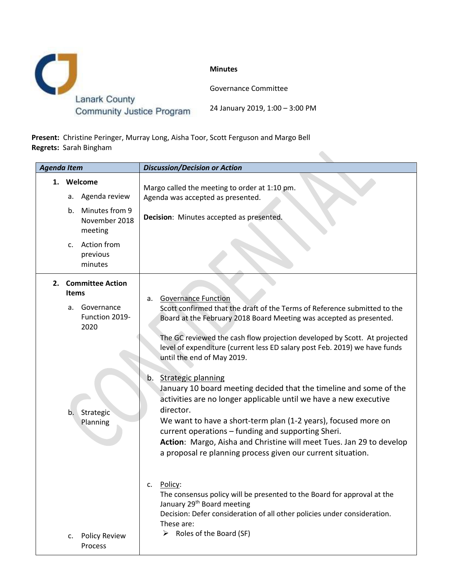

**Present:** Christine Peringer, Murray Long, Aisha Toor, Scott Ferguson and Margo Bell **Regrets:** Sarah Bingham

| <b>Agenda Item</b> |                                                                                                                      | <b>Discussion/Decision or Action</b>                                                                                                                                                                                                                                                                                                                                                                                                                                                                                                                                                                                                                                                                                                                                                                                                                                                                                                                                          |  |  |
|--------------------|----------------------------------------------------------------------------------------------------------------------|-------------------------------------------------------------------------------------------------------------------------------------------------------------------------------------------------------------------------------------------------------------------------------------------------------------------------------------------------------------------------------------------------------------------------------------------------------------------------------------------------------------------------------------------------------------------------------------------------------------------------------------------------------------------------------------------------------------------------------------------------------------------------------------------------------------------------------------------------------------------------------------------------------------------------------------------------------------------------------|--|--|
|                    | 1. Welcome<br>Agenda review<br>а.<br>Minutes from 9<br>b.<br>November 2018<br>meeting<br>c. Action from              | Margo called the meeting to order at 1:10 pm.<br>Agenda was accepted as presented.<br>Decision: Minutes accepted as presented.                                                                                                                                                                                                                                                                                                                                                                                                                                                                                                                                                                                                                                                                                                                                                                                                                                                |  |  |
|                    | previous<br>minutes                                                                                                  |                                                                                                                                                                                                                                                                                                                                                                                                                                                                                                                                                                                                                                                                                                                                                                                                                                                                                                                                                                               |  |  |
| 2.                 | <b>Committee Action</b><br><b>Items</b><br>Governance<br>a.<br>Function 2019-<br>2020<br>Strategic<br>b.<br>Planning | <b>Governance Function</b><br>a.<br>Scott confirmed that the draft of the Terms of Reference submitted to the<br>Board at the February 2018 Board Meeting was accepted as presented.<br>The GC reviewed the cash flow projection developed by Scott. At projected<br>level of expenditure (current less ED salary post Feb. 2019) we have funds<br>until the end of May 2019.<br><b>Strategic planning</b><br>b.<br>January 10 board meeting decided that the timeline and some of the<br>activities are no longer applicable until we have a new executive<br>director.<br>We want to have a short-term plan (1-2 years), focused more on<br>current operations - funding and supporting Sheri.<br>Action: Margo, Aisha and Christine will meet Tues. Jan 29 to develop<br>a proposal re planning process given our current situation.<br>Policy:<br>c.<br>The consensus policy will be presented to the Board for approval at the<br>January 29 <sup>th</sup> Board meeting |  |  |
|                    | <b>Policy Review</b><br>c.<br>Process                                                                                | Decision: Defer consideration of all other policies under consideration.<br>These are:<br>$\triangleright$ Roles of the Board (SF)                                                                                                                                                                                                                                                                                                                                                                                                                                                                                                                                                                                                                                                                                                                                                                                                                                            |  |  |

 $\bullet$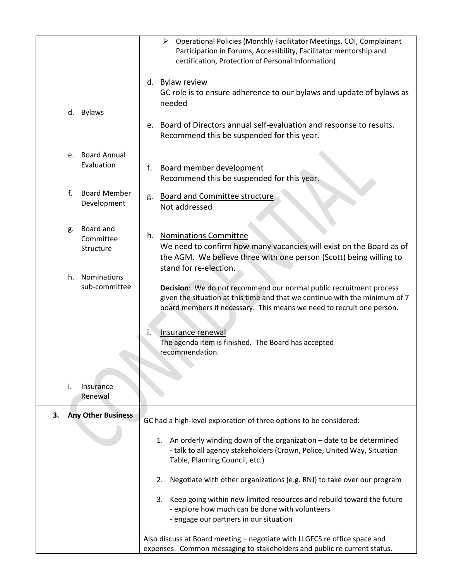|                                           | Operational Policies (Monthly Facilitator Meetings, COI, Complainant<br>≻<br>Participation in Forums, Accessibility, Facilitator mentorship and<br>certification, Protection of Personal Information)                       |  |  |
|-------------------------------------------|-----------------------------------------------------------------------------------------------------------------------------------------------------------------------------------------------------------------------------|--|--|
| <b>Bylaws</b><br>d.                       | d. Bylaw review<br>GC role is to ensure adherence to our bylaws and update of bylaws as<br>needed<br>Board of Directors annual self-evaluation and response to results.<br>e.                                               |  |  |
|                                           | Recommend this be suspended for this year.                                                                                                                                                                                  |  |  |
| Board Annual<br>e.<br>Evaluation          | Board member development<br>f.<br>Recommend this be suspended for this year.                                                                                                                                                |  |  |
| f.<br><b>Board Member</b><br>Development  | <b>Board and Committee structure</b><br>g.<br>Not addressed                                                                                                                                                                 |  |  |
| Board and<br>g.<br>Committee<br>Structure | h. Nominations Committee<br>We need to confirm how many vacancies will exist on the Board as of<br>the AGM. We believe three with one person (Scott) being willing to<br>stand for re-election.                             |  |  |
| Nominations<br>h.<br>sub-committee        | Decision: We do not recommend our normal public recruitment process<br>given the situation at this time and that we continue with the minimum of 7<br>board members if necessary. This means we need to recruit one person. |  |  |
|                                           | Insurance renewal<br>۱.<br>The agenda item is finished. The Board has accepted<br>recommendation.                                                                                                                           |  |  |
| i.<br>Insurance<br>Renewal                |                                                                                                                                                                                                                             |  |  |
| <b>Any Other Business</b><br>3.           | GC had a high-level exploration of three options to be considered:                                                                                                                                                          |  |  |
|                                           | 1. An orderly winding down of the organization - date to be determined<br>- talk to all agency stakeholders (Crown, Police, United Way, Situation<br>Table, Planning Council, etc.)                                         |  |  |
|                                           | 2.<br>Negotiate with other organizations (e.g. RNJ) to take over our program                                                                                                                                                |  |  |
|                                           | Keep going within new limited resources and rebuild toward the future<br>3.<br>- explore how much can be done with volunteers<br>- engage our partners in our situation                                                     |  |  |
|                                           | Also discuss at Board meeting - negotiate with LLGFCS re office space and<br>expenses. Common messaging to stakeholders and public re current status.                                                                       |  |  |